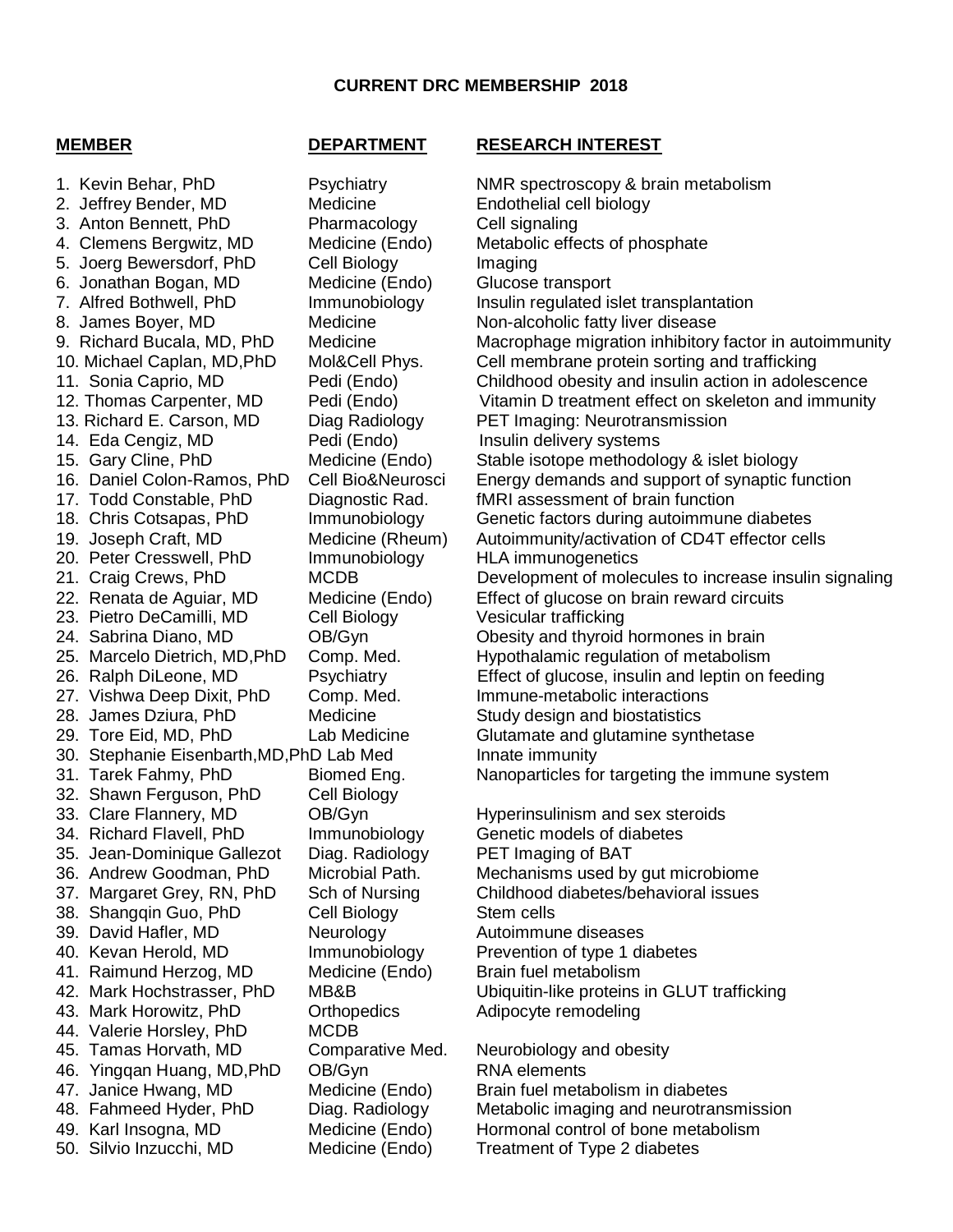## **CURRENT DRC MEMBERSHIP 2018**

## **MEMBER DEPARTMENT RESEARCH INTEREST**

1. Kevin Behar, PhD Psychiatry NMR spectroscopy & brain metabolism 2. Jeffrey Bender, MD Medicine Endothelial cell biology 3. Anton Bennett, PhD Pharmacology Cell signaling 4. Clemens Bergwitz, MD Medicine (Endo) Metabolic effects of phosphate 5. Joerg Bewersdorf, PhD Cell Biology Imaging 6. Jonathan Bogan, MD Medicine (Endo) Glucose transport 8. James Boyer, MD Medicine Non-alcoholic fatty liver disease 13. Richard E. Carson, MD Diag Radiology PET Imaging: Neurotransmission 14. Eda Cengiz, MD Pedi (Endo) Insulin delivery systems 17. Todd Constable, PhD Diagnostic Rad. fMRI assessment of brain function 20. Peter Cresswell, PhD Immunobiology HLA immunogenetics 23. Pietro DeCamilli, MD Cell Biology Vesicular trafficking 27. Vishwa Deep Dixit, PhD Comp. Med. Immune-metabolic interactions 28. James Dziura, PhD Medicine Study design and biostatistics 30. Stephanie Eisenbarth,MD,PhD Lab Med Innate immunity 32. Shawn Ferguson, PhD Cell Biology 33. Clare Flannery, MD OB/Gyn Hyperinsulinism and sex steroids 34. Richard Flavell, PhD Immunobiology Genetic models of diabetes 35. Jean-Dominique Gallezot Diag. Radiology PET Imaging of BAT 38. Shangqin Guo, PhD Cell Biology Stem cells 39. David Hafler, MD **Neurology** Autoimmune diseases 40. Kevan Herold, MD Immunobiology Prevention of type 1 diabetes 41. Raimund Herzog, MD Medicine (Endo) Brain fuel metabolism 43. Mark Horowitz, PhD Orthopedics Adipocyte remodeling 44. Valerie Horsley, PhD MCDB 45. Tamas Horvath, MD Comparative Med. Neurobiology and obesity 46. Yingqan Huang, MD, PhD OB/Gyn RNA elements 47. Janice Hwang, MD Medicine (Endo) Brain fuel metabolism in diabetes 49. Karl Insogna, MD Medicine (Endo) Hormonal control of bone metabolism

7. Alfred Bothwell, PhD Immunobiology Insulin regulated islet transplantation 9. Richard Bucala, MD, PhD Medicine Macrophage migration inhibitory factor in autoimmunity 10. Michael Caplan, MD,PhD Mol&Cell Phys. Cell membrane protein sorting and trafficking 11. Sonia Caprio, MD Pedi (Endo) Childhood obesity and insulin action in adolescence 12. Thomas Carpenter, MD Pedi (Endo) Vitamin D treatment effect on skeleton and immunity 15. Gary Cline, PhD Medicine (Endo) Stable isotope methodology & islet biology 16. Daniel Colon-Ramos, PhD Cell Bio&Neurosci Energy demands and support of synaptic function 18. Chris Cotsapas, PhD Immunobiology Genetic factors during autoimmune diabetes 19. Joseph Craft, MD Medicine (Rheum) Autoimmunity/activation of CD4T effector cells 21. Craig Crews, PhD MCDB Development of molecules to increase insulin signaling 22. Renata de Aguiar, MD Medicine (Endo) Effect of glucose on brain reward circuits 24. Sabrina Diano, MD OB/Gyn Obesity and thyroid hormones in brain 25. Marcelo Dietrich, MD,PhD Comp. Med. Hypothalamic regulation of metabolism 26. Ralph DiLeone, MD Psychiatry Effect of glucose, insulin and leptin on feeding 29. Tore Eid, MD, PhD Lab Medicine Glutamate and glutamine synthetase 31. Tarek Fahmy, PhD Biomed Eng. Nanoparticles for targeting the immune system 36. Andrew Goodman, PhD Microbial Path. Mechanisms used by gut microbiome 37. Margaret Grey, RN, PhD Sch of Nursing Childhood diabetes/behavioral issues 42. Mark Hochstrasser, PhD MB&B Ubiquitin-like proteins in GLUT trafficking

48. Fahmeed Hyder, PhD Diag. Radiology Metabolic imaging and neurotransmission 50. Silvio Inzucchi, MD Medicine (Endo) Treatment of Type 2 diabetes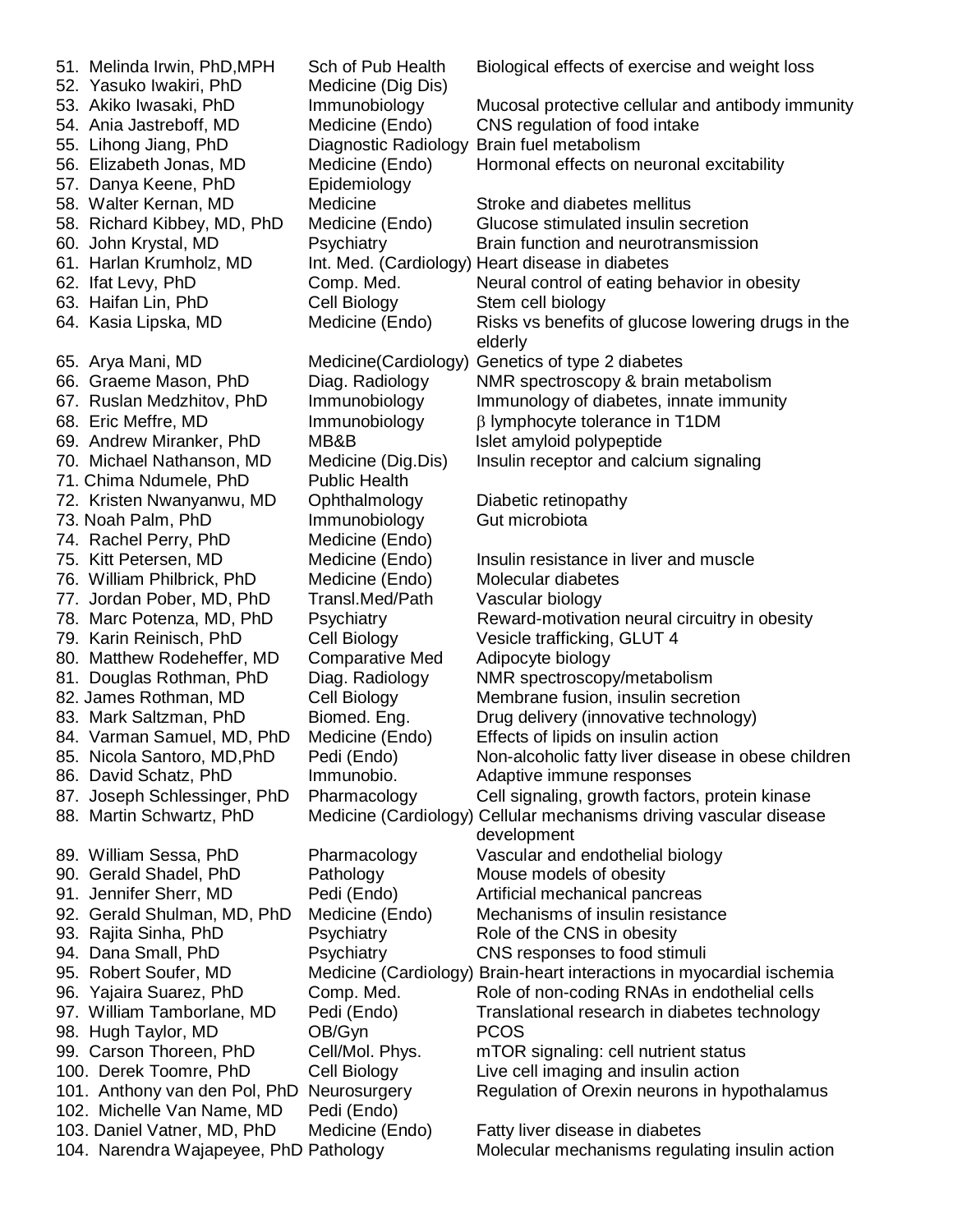51. Melinda Irwin, PhD,MPH Sch of Pub Health Biological effects of exercise and weight loss 52. Yasuko Iwakiri, PhD Medicine (Dig Dis) 53. Akiko Iwasaki, PhD Immunobiology Mucosal protective cellular and antibody immunity 54. Ania Jastreboff, MD Medicine (Endo) CNS regulation of food intake 55. Lihong Jiang, PhD Diagnostic Radiology Brain fuel metabolism 56. Elizabeth Jonas, MD Medicine (Endo) Hormonal effects on neuronal excitability 57. Danya Keene, PhD Epidemiology 58. Walter Kernan, MD Medicine Stroke and diabetes mellitus 58. Richard Kibbey, MD, PhD Medicine (Endo) Glucose stimulated insulin secretion 60. John Krystal, MD Psychiatry Brain function and neurotransmission 61. Harlan Krumholz, MD Int. Med. (Cardiology) Heart disease in diabetes 62. Ifat Levy, PhD Comp. Med. Neural control of eating behavior in obesity 63. Haifan Lin, PhD Cell Biology Stem cell biology 64. Kasia Lipska, MD Medicine (Endo) Risks vs benefits of glucose lowering drugs in the elderly 65. Arya Mani, MD Medicine(Cardiology) Genetics of type 2 diabetes 66. Graeme Mason, PhD Diag. Radiology NMR spectroscopy & brain metabolism 67. Ruslan Medzhitov, PhD Immunobiology Immunology of diabetes, innate immunity 68. Eric Meffre, MD **Immunobiology**  $\beta$  lymphocyte tolerance in T1DM 69. Andrew Miranker, PhD MB&B Islet amyloid polypeptide 70. Michael Nathanson, MD Medicine (Dig.Dis) Insulin receptor and calcium signaling 71. Chima Ndumele, PhD Public Health 72. Kristen Nwanyanwu, MD Ophthalmology Diabetic retinopathy 73. Noah Palm, PhD Immunobiology Gut microbiota 74. Rachel Perry, PhD Medicine (Endo) 75. Kitt Petersen, MD Medicine (Endo) Insulin resistance in liver and muscle 76. William Philbrick, PhD Medicine (Endo) Molecular diabetes 77. Jordan Pober, MD, PhD Transl.Med/Path Vascular biology 78. Marc Potenza, MD, PhD Psychiatry Reward-motivation neural circuitry in obesity 79. Karin Reinisch, PhD Cell Biology Vesicle trafficking, GLUT 4 80. Matthew Rodeheffer, MD Comparative Med Adipocyte biology 81. Douglas Rothman, PhD Diag. Radiology NMR spectroscopy/metabolism 82. James Rothman, MD Cell Biology Membrane fusion, insulin secretion 83. Mark Saltzman, PhD Biomed. Eng. Drug delivery (innovative technology) 84. Varman Samuel, MD, PhD Medicine (Endo) Effects of lipids on insulin action 85. Nicola Santoro, MD,PhD Pedi (Endo) Non-alcoholic fatty liver disease in obese children 86. David Schatz, PhD Immunobio. Adaptive immune responses 87. Joseph Schlessinger, PhD Pharmacology Cell signaling, growth factors, protein kinase 88. Martin Schwartz, PhD Medicine (Cardiology) Cellular mechanisms driving vascular disease development 89. William Sessa, PhD Pharmacology Vascular and endothelial biology 90. Gerald Shadel, PhD Pathology Mouse models of obesity 91. Jennifer Sherr, MD Pedi (Endo) Artificial mechanical pancreas 92. Gerald Shulman, MD, PhD Medicine (Endo) Mechanisms of insulin resistance 93. Rajita Sinha, PhD **Psychiatry** Role of the CNS in obesity 94. Dana Small, PhD Psychiatry CNS responses to food stimuli 95. Robert Soufer, MD Medicine (Cardiology) Brain-heart interactions in myocardial ischemia 96. Yajaira Suarez, PhD Comp. Med. Role of non-coding RNAs in endothelial cells 97. William Tamborlane, MD Pedi (Endo) Translational research in diabetes technology 98. Hugh Taylor, MD OB/Gyn PCOS 99. Carson Thoreen, PhD Cell/Mol. Phys. mTOR signaling: cell nutrient status 100. Derek Toomre, PhD Cell Biology Live cell imaging and insulin action 101. Anthony van den Pol, PhD Neurosurgery Regulation of Orexin neurons in hypothalamus 102. Michelle Van Name, MD Pedi (Endo) 103. Daniel Vatner, MD, PhD Medicine (Endo) Fatty liver disease in diabetes 104. Narendra Wajapeyee, PhD Pathology Molecular mechanisms regulating insulin action